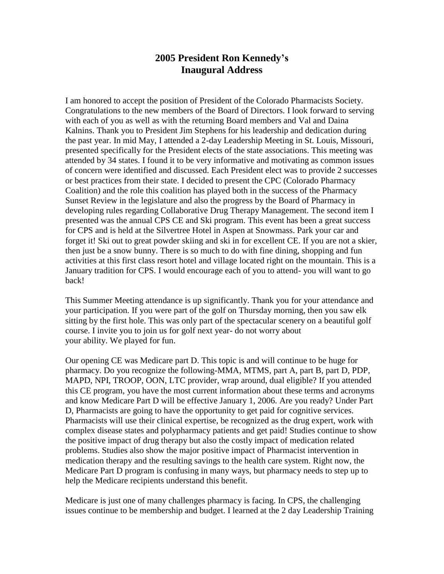## **2005 President Ron Kennedy's Inaugural Address**

I am honored to accept the position of President of the Colorado Pharmacists Society. Congratulations to the new members of the Board of Directors. I look forward to serving with each of you as well as with the returning Board members and Val and Daina Kalnins. Thank you to President Jim Stephens for his leadership and dedication during the past year. In mid May, I attended a 2-day Leadership Meeting in St. Louis, Missouri, presented specifically for the President elects of the state associations. This meeting was attended by 34 states. I found it to be very informative and motivating as common issues of concern were identified and discussed. Each President elect was to provide 2 successes or best practices from their state. I decided to present the CPC (Colorado Pharmacy Coalition) and the role this coalition has played both in the success of the Pharmacy Sunset Review in the legislature and also the progress by the Board of Pharmacy in developing rules regarding Collaborative Drug Therapy Management. The second item I presented was the annual CPS CE and Ski program. This event has been a great success for CPS and is held at the Silvertree Hotel in Aspen at Snowmass. Park your car and forget it! Ski out to great powder skiing and ski in for excellent CE. If you are not a skier, then just be a snow bunny. There is so much to do with fine dining, shopping and fun activities at this first class resort hotel and village located right on the mountain. This is a January tradition for CPS. I would encourage each of you to attend- you will want to go back!

This Summer Meeting attendance is up significantly. Thank you for your attendance and your participation. If you were part of the golf on Thursday morning, then you saw elk sitting by the first hole. This was only part of the spectacular scenery on a beautiful golf course. I invite you to join us for golf next year- do not worry about your ability. We played for fun.

Our opening CE was Medicare part D. This topic is and will continue to be huge for pharmacy. Do you recognize the following-MMA, MTMS, part A, part B, part D, PDP, MAPD, NPI, TROOP, OON, LTC provider, wrap around, dual eligible? If you attended this CE program, you have the most current information about these terms and acronyms and know Medicare Part D will be effective January 1, 2006. Are you ready? Under Part D, Pharmacists are going to have the opportunity to get paid for cognitive services. Pharmacists will use their clinical expertise, be recognized as the drug expert, work with complex disease states and polypharmacy patients and get paid! Studies continue to show the positive impact of drug therapy but also the costly impact of medication related problems. Studies also show the major positive impact of Pharmacist intervention in medication therapy and the resulting savings to the health care system. Right now, the Medicare Part D program is confusing in many ways, but pharmacy needs to step up to help the Medicare recipients understand this benefit.

Medicare is just one of many challenges pharmacy is facing. In CPS, the challenging issues continue to be membership and budget. I learned at the 2 day Leadership Training